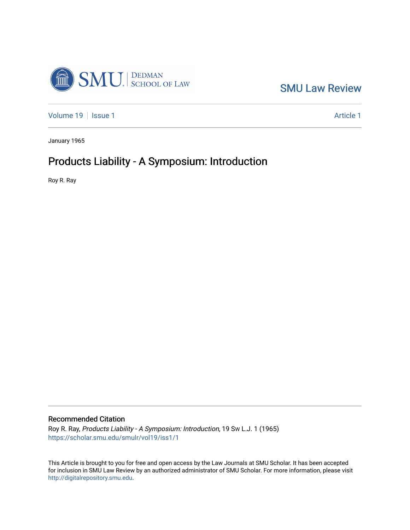

[SMU Law Review](https://scholar.smu.edu/smulr) 

[Volume 19](https://scholar.smu.edu/smulr/vol19) | [Issue 1](https://scholar.smu.edu/smulr/vol19/iss1) Article 1

January 1965

# Products Liability - A Symposium: Introduction

Roy R. Ray

## Recommended Citation

Roy R. Ray, Products Liability - A Symposium: Introduction, 19 SW L.J. 1 (1965) [https://scholar.smu.edu/smulr/vol19/iss1/1](https://scholar.smu.edu/smulr/vol19/iss1/1?utm_source=scholar.smu.edu%2Fsmulr%2Fvol19%2Fiss1%2F1&utm_medium=PDF&utm_campaign=PDFCoverPages) 

This Article is brought to you for free and open access by the Law Journals at SMU Scholar. It has been accepted for inclusion in SMU Law Review by an authorized administrator of SMU Scholar. For more information, please visit [http://digitalrepository.smu.edu.](http://digitalrepository.smu.edu/)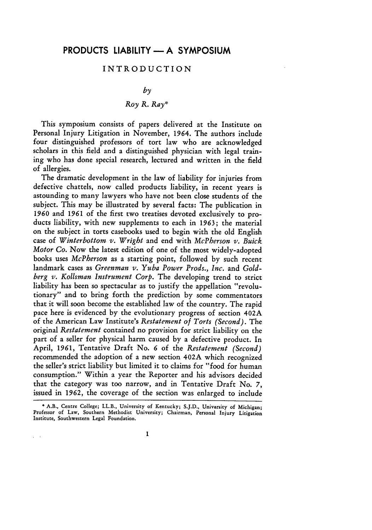#### INTRODUCTION

### *by*

## *Roy R. Ray\**

This symposium consists of papers delivered at the Institute on Personal Injury Litigation in November, 1964. The authors include four distinguished professors of tort law who are acknowledged scholars in this field and a distinguished physician with legal training who has done special research, lectured and written in the field of allergies.

The dramatic development in the law of liability for injuries from defective chattels, now called products liability, in recent years is astounding to many lawyers who have not been close students of the subject. This may be illustrated by several facts: The publication in *1960* and 1961 of the first two treatises devoted exclusively to products liability, with new supplements to each in 1963; the material on the subject in torts casebooks used to begin with the old English case of *Winterbottom v. Wright* and end with *McPberson v. Buick Motor Co.* Now the latest edition of one of the most widely-adopted books uses *McPberson* as a starting point, followed by such recent landmark cases as *Greenman v. Yuba Power Prods., Inc.* and *Goldberg v. Kollsman Instrument Corp.* The developing trend to strict liability has been so spectacular as to justify the appellation "revolutionary" and to bring forth the prediction by some commentators that it will soon become the established law of the country. The rapid pace here is evidenced by the evolutionary progress of section 402A of the American Law Institute's *Restatement of Torts (Second).* The original *Restatement* contained no provision for strict liability on the part of a seller for physical harm caused by a defective product. In April, 1961, Tentative Draft No. *6* of the *Restatement (Second)* recommended the adoption of a new section 402A which recognized the seller's strict liability but limited it to claims for "food for human consumption." Within a year the Reporter and his advisors decided that the category was too narrow, and in Tentative Draft No. 7, issued in 1962, the coverage of the section was enlarged to include

**<sup>\*</sup> A.B.,** Centre **College;** LL.B., University **of** Kentucky; **S.J.D.,** University **of Michigan; Professor of Law,** Southern Methodist University; Chairman, Personal Injury Litigation Institute, Southwestern **Legal** Foundation.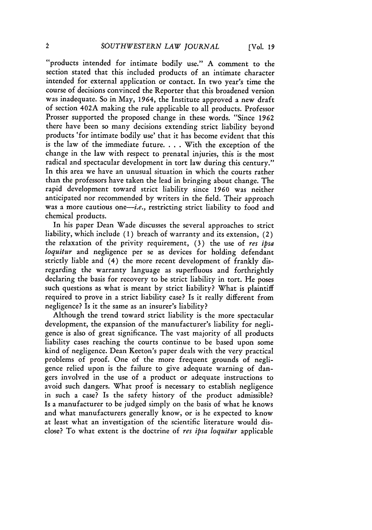"products intended for intimate bodily use." A comment to the section stated that this included products of an intimate character intended for external application or contact. In two year's time the course of decisions convinced the Reporter that this broadened version was inadequate. So in May, 1964, the Institute approved a new draft of section 402A making the rule applicable to all products. Professor Prosser supported the proposed change in these words. "Since **1962** there have been so many decisions extending strict liability beyond products 'for intimate bodily use' that it has become evident that this is the law of the immediate future. . **.** . With the exception of the change in the law with respect to prenatal injuries, this is the most radical and spectacular development in tort law during this century." In this area we have an unusual situation in which the courts rather than the professors have taken the lead in bringing about change. The rapid development toward strict liability since 1960 was neither anticipated nor recommended by writers in the field. Their approach was a more cautious one-i.e., restricting strict liability to food and chemical products.

In his paper Dean Wade discusses the several approaches to strict liability, which include **(1)** breach of warranty and its extension, (2) the relaxation of the privity requirement, (3) the use of *res ipsa loquitur* and negligence per se as devices for holding defendant strictly liable and (4) the more recent development of frankly disregarding the warranty language as superfluous and forthrightly declaring the basis for recovery to be strict liability in tort. He poses such questions as what is meant by strict liability? What is plaintiff required to prove in a strict liability case? Is it really different from negligence? Is it the same as an insurer's liability?

Although the trend toward strict liability is the more spectacular development, the expansion of the manufacturer's liability for negligence is also of great significance. The vast majority of all products liability cases reaching the courts continue to be based upon some kind of negligence. Dean Keeton's paper deals with the very practical problems of proof. One of the more frequent grounds of negligence relied upon is the failure to give adequate warning of dangers involved in the use of a product or adequate instructions to avoid such dangers. What proof is necessary to establish negligence in such a case? Is the safety history of the product admissible? Is a manufacturer to be judged simply on the basis of what he knows and what manufacturers generally know, or is he expected to know at least what an investigation of the scientific literature would disclose? To what extent is the doctrine of *res ipsa loquitur* applicable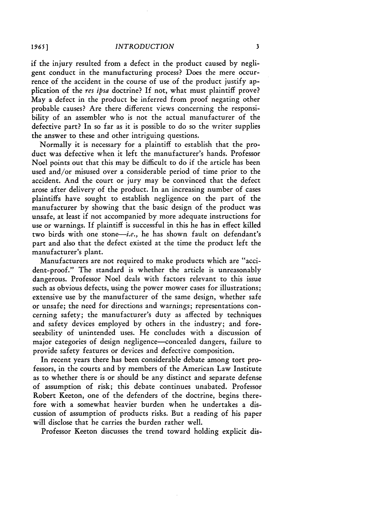if the injury resulted from a defect in the product caused by negligent conduct in the manufacturing process? Does the mere occurrence of the accident in the course of use of the product justify application of the *res ipsa* doctrine? If not, what must plaintiff prove? May a defect in the product be inferred from proof negating other probable causes? Are there different views concerning the responsibility of an assembler who is not the actual manufacturer of the defective part? In so far as it is possible to do so the writer supplies the answer to these and other intriguing questions.

Normally it is necessary for a plaintiff to establish that the product was defective when it left the manufacturer's hands. Professor Noel points out that this may be difficult to do if the article has been used and/or misused over a considerable period of time prior to the accident. And the court or jury may be convinced that the defect arose after delivery of the product. In an increasing number of cases plaintiffs have sought to establish negligence on the part of the manufacturer by showing that the basic design of the product was unsafe, at least if not accompanied by more adequate instructions for use or warnings. If plaintiff is successful in this he has in effect killed two birds with one stone-i.e., he has shown fault on defendant's part and also that the defect existed at the time the product left the manufacturer's plant.

Manufacturers are not required to make products which are "accident-proof." The standard is whether the article is unreasonably dangerous. Professor Noel deals with factors relevant to this issue such as obvious defects, using the power mower cases for illustrations; extensive use by the manufacturer of the same design, whether safe or unsafe; the need for directions and warnings; representations concerning safety; the manufacturer's duty as affected by techniques and safety devices employed by others in the industry; and foreseeability of unintended uses. He concludes with a discussion of major categories of design negligence—concealed dangers, failure to provide safety features or devices and defective composition.

In recent years there has been considerable debate among tort professors, in the courts and by members of the American Law Institute as to whether there is or should be any distinct and separate defense of assumption of risk; this debate continues unabated. Professor Robert Keeton, one of the defenders of the doctrine, begins therefore with a somewhat heavier burden when he undertakes a discussion of assumption of products risks. But a reading of his paper will disclose that he carries the burden rather well.

Professor Keeton discusses the trend toward holding explicit dis-

*1965* **]**